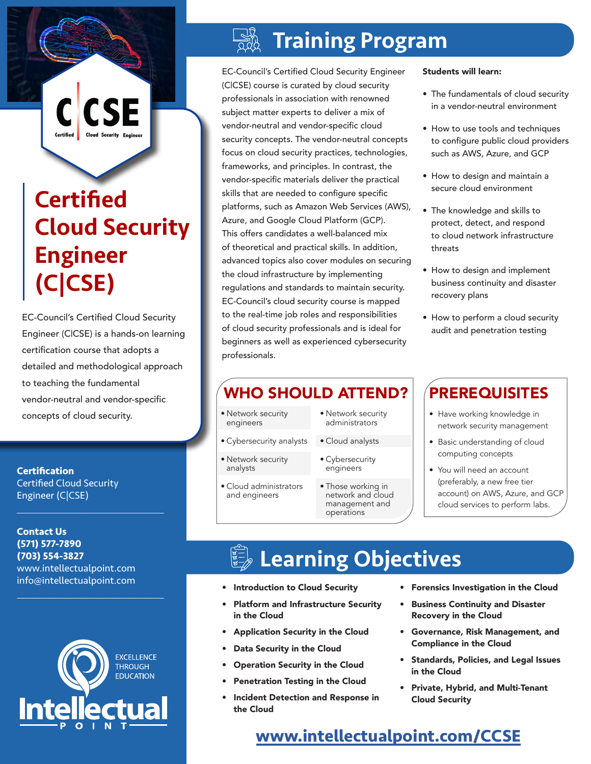# **Certified** Cloud Security Engineer (C|CSE)

CSE

EC-Council's Certified Cloud Security Engineer (C|CSE) is a hands-on learning certification course that adopts a detailed and methodological approach to teaching the fundamental vendor-neutral and vendor-specific concepts of cloud security.

**Certification** Certified Cloud Security Engineer (C|CSE)

**Contact Us (571) 577-7890 (703) 554-3827** www.intellectualpoint.com info@intellectualpoint.com

 $\mathcal{L}_\text{max}$  and  $\mathcal{L}_\text{max}$  and  $\mathcal{L}_\text{max}$  and  $\mathcal{L}_\text{max}$ 

 $\mathcal{L}_\text{max}$  and  $\mathcal{L}_\text{max}$  and  $\mathcal{L}_\text{max}$  and  $\mathcal{L}_\text{max}$ 



## Training Program

EC-Council's Certified Cloud Security Engineer (C|CSE) course is curated by cloud security professionals in association with renowned subject matter experts to deliver a mix of vendor-neutral and vendor-specific cloud security concepts. The vendor-neutral concepts focus on cloud security practices, technologies, frameworks, and principles. In contrast, the vendor-specific materials deliver the practical skills that are needed to configure specific platforms, such as Amazon Web Services (AWS), Azure, and Google Cloud Platform (GCP). This offers candidates a well-balanced mix of theoretical and practical skills. In addition, advanced topics also cover modules on securing the cloud infrastructure by implementing regulations and standards to maintain security. EC-Council's cloud security course is mapped to the real-time job roles and responsibilities of cloud security professionals and is ideal for beginners as well as experienced cybersecurity professionals.

## WHO SHOULD ATTEND? PREREQUISITES

- Network security engineers
- Cybersecurity analysts
- Network security analysts
- Cloud administrators and engineers
- Network security administrators
- Cloud analysts
	- Cybersecurity engineers
	- Those working in network and cloud management and operations

#### Students will learn:

- The fundamentals of cloud security in a vendor-neutral environment
- How to use tools and techniques to configure public cloud providers such as AWS, Azure, and GCP
- How to design and maintain a secure cloud environment
- The knowledge and skills to protect, detect, and respond to cloud network infrastructure threats
- How to design and implement business continuity and disaster recovery plans
- How to perform a cloud security audit and penetration testing

- Have working knowledge in network security management
- Basic understanding of cloud computing concepts
- You will need an account (preferably, a new free tier account) on AWS, Azure, and GCP cloud services to perform labs.

# Learning Objectives

- Introduction to Cloud Security
- Platform and Infrastructure Security in the Cloud
- Application Security in the Cloud
- Data Security in the Cloud
- Operation Security in the Cloud
- Penetration Testing in the Cloud
- Incident Detection and Response in the Cloud
- Forensics Investigation in the Cloud
- Business Continuity and Disaster Recovery in the Cloud
- Governance, Risk Management, and Compliance in the Cloud
- Standards, Policies, and Legal Issues in the Cloud
- Private, Hybrid, and Multi-Tenant Cloud Security

### **[www.intellectualpoint.com/](https://intellectualpoint.com/product/certified-cloud-security-engineer-ccse/)CCSE**